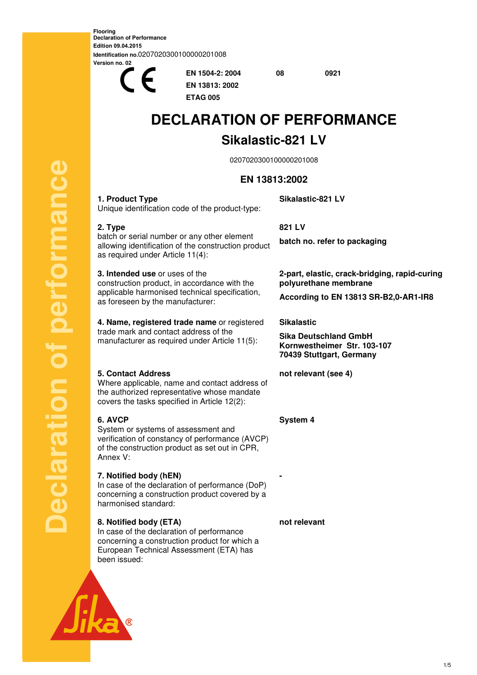**Flooring Declaration of Performance Edition 09.04.2015 Identification no.**0207020300100000201008 **Version no. 02**



**EN 1504-2: 2004 08 0921 EN 13813: 2002 ETAG 005** 

# **DECLARATION OF PERFORMANCE**

## **Sikalastic-821 LV**

0207020300100000201008

## **EN 13813:2002**

**Sikalastic-821 LV** 

**1. Product Type**  Unique identification code of the product-type:

## **2. Type**

batch or serial number or any other element allowing identification of the construction product as required under Article 11(4):

**3. Intended use** or uses of the construction product, in accordance with the applicable harmonised technical specification, as foreseen by the manufacturer:

**4. Name, registered trade name** or registered trade mark and contact address of the manufacturer as required under Article 11(5):

## **5. Contact Address**

Where applicable, name and contact address of the authorized representative whose mandate covers the tasks specified in Article 12(2):

## **6. AVCP**

**Declaration of performance** 

 $\overline{\overline{C}}$ 

eclaration

performance

System or systems of assessment and verification of constancy of performance (AVCP) of the construction product as set out in CPR, Annex V:

## **7. Notified body (hEN)**

In case of the declaration of performance (DoP) concerning a construction product covered by a harmonised standard:

## **8. Notified body (ETA)**

In case of the declaration of performance concerning a construction product for which a European Technical Assessment (ETA) has been issued:



**batch no. refer to packaging** 

**2-part, elastic, crack-bridging, rapid-curing polyurethane membrane** 

**According to EN 13813 SR-B2,0-AR1-IR8**

## **Sikalastic**

**Sika Deutschland GmbH Kornwestheimer Str. 103-107 70439 Stuttgart, Germany**

**not relevant (see 4)** 

**System 4** 

**not relevant** 

**-**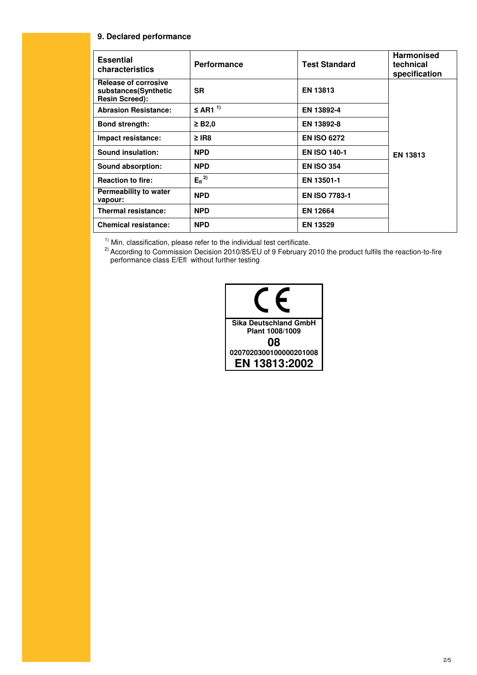#### **9. Declared performance**

| <b>Essential</b><br>characteristics                                          | <b>Performance</b>      | <b>Test Standard</b> | <b>Harmonised</b><br>technical<br>specification |
|------------------------------------------------------------------------------|-------------------------|----------------------|-------------------------------------------------|
| <b>Release of corrosive</b><br>substances(Synthetic<br><b>Resin Screed):</b> | <b>SR</b>               | <b>EN 13813</b>      |                                                 |
| <b>Abrasion Resistance:</b>                                                  | $\leq$ AR1 <sup>1</sup> | EN 13892-4           |                                                 |
| <b>Bond strength:</b>                                                        | $\geq$ B2.0             | EN 13892-8           |                                                 |
| Impact resistance:                                                           | $\geq$ IR8              | <b>EN ISO 6272</b>   |                                                 |
| Sound insulation:                                                            | <b>NPD</b>              | <b>EN ISO 140-1</b>  | EN 13813                                        |
| Sound absorption:                                                            | <b>NPD</b>              | <b>EN ISO 354</b>    |                                                 |
| <b>Reaction to fire:</b>                                                     | $E_{fl}$ <sup>2)</sup>  | EN 13501-1           |                                                 |
| Permeability to water<br>vapour:                                             | <b>NPD</b>              | <b>EN ISO 7783-1</b> |                                                 |
| <b>Thermal resistance:</b>                                                   | <b>NPD</b>              | <b>EN 12664</b>      |                                                 |
| <b>Chemical resistance:</b>                                                  | <b>NPD</b>              | <b>EN 13529</b>      |                                                 |

 $1)$  Min. classification, please refer to the individual test certificate.

<sup>2)</sup> According to Commission Decision 2010/85/EU of 9 February 2010 the product fulfils the reaction-to-fire performance class E/Efl without further testing

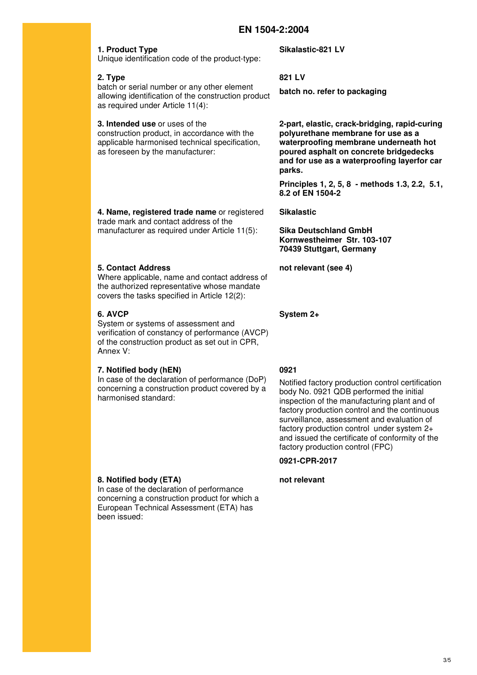#### **1. Product Type**

Unique identification code of the product-type:

#### **2. Type**

batch or serial number or any other element allowing identification of the construction product as required under Article 11(4):

#### **3. Intended use** or uses of the

construction product, in accordance with the applicable harmonised technical specification, as foreseen by the manufacturer:

**4. Name, registered trade name** or registered trade mark and contact address of the manufacturer as required under Article 11(5):

#### **5. Contact Address**

Where applicable, name and contact address of the authorized representative whose mandate covers the tasks specified in Article 12(2):

## **6. AVCP**

System or systems of assessment and verification of constancy of performance (AVCP) of the construction product as set out in CPR, Annex V:

#### **7. Notified body (hEN)**

In case of the declaration of performance (DoP) concerning a construction product covered by a harmonised standard:

#### **8. Notified body (ETA)**

In case of the declaration of performance concerning a construction product for which a European Technical Assessment (ETA) has been issued:

**Sikalastic-821 LV** 

#### **821 LV**

**batch no. refer to packaging** 

**2-part, elastic, crack-bridging, rapid-curing polyurethane membrane for use as a waterproofing membrane underneath hot poured asphalt on concrete bridgedecks and for use as a waterproofing layerfor car parks.** 

**Principles 1, 2, 5, 8 - methods 1.3, 2.2, 5.1, 8.2 of EN 1504-2**

#### **Sikalastic**

**Sika Deutschland GmbH Kornwestheimer Str. 103-107 70439 Stuttgart, Germany**

**not relevant (see 4)** 

**System 2+** 

#### **0921**

Notified factory production control certification body No. 0921 QDB performed the initial inspection of the manufacturing plant and of factory production control and the continuous surveillance, assessment and evaluation of factory production control under system 2+ and issued the certificate of conformity of the factory production control (FPC)

**0921-CPR-2017** 

**not relevant**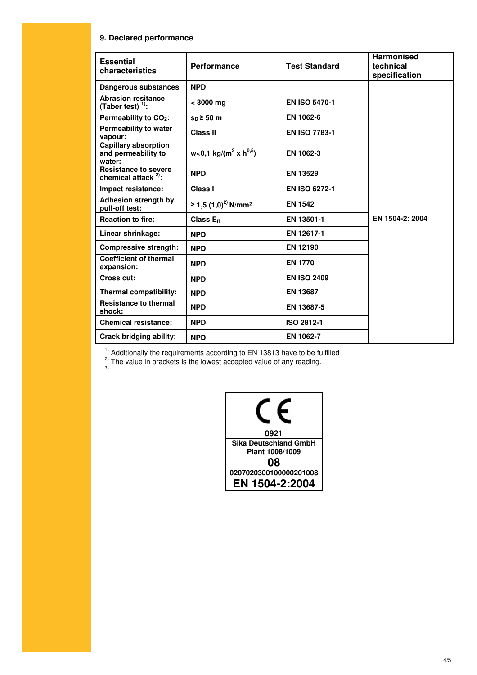#### **9. Declared performance**

| <b>Essential</b><br>characteristics                          | <b>Performance</b>                            | <b>Test Standard</b> | <b>Harmonised</b><br>technical<br>specification |
|--------------------------------------------------------------|-----------------------------------------------|----------------------|-------------------------------------------------|
| Dangerous substances                                         | <b>NPD</b>                                    |                      |                                                 |
| <b>Abrasion resitance</b><br>(Taber test) $^{1)}$ :          | $< 3000$ mg                                   | <b>EN ISO 5470-1</b> |                                                 |
| Permeability to CO <sub>2</sub> :                            | $s_n \geq 50$ m                               | EN 1062-6            |                                                 |
| Permeability to water<br>vapour:                             | <b>Class II</b>                               | <b>EN ISO 7783-1</b> |                                                 |
| <b>Capillary absorption</b><br>and permeability to<br>water: | w<0,1 kg/(m <sup>2</sup> x h <sup>0,5</sup> ) | EN 1062-3            |                                                 |
| <b>Resistance to severe</b><br>chemical attack $2$ :         | <b>NPD</b>                                    | <b>EN 13529</b>      |                                                 |
| Impact resistance:                                           | Class I                                       | <b>EN ISO 6272-1</b> |                                                 |
| Adhesion strength by<br>pull-off test:                       | ≥ 1,5 $(1,0)^{2}$ N/mm <sup>2</sup>           | <b>EN 1542</b>       |                                                 |
| <b>Reaction to fire:</b>                                     | Class $E_{fl}$                                | EN 13501-1           | EN 1504-2: 2004                                 |
| Linear shrinkage:                                            | <b>NPD</b>                                    | EN 12617-1           |                                                 |
| <b>Compressive strength:</b>                                 | <b>NPD</b>                                    | EN 12190             |                                                 |
| <b>Coefficient of thermal</b><br>expansion:                  | <b>NPD</b>                                    | <b>EN 1770</b>       |                                                 |
| Cross cut:                                                   | <b>NPD</b>                                    | <b>EN ISO 2409</b>   |                                                 |
| Thermal compatibility:                                       | <b>NPD</b>                                    | <b>EN 13687</b>      |                                                 |
| <b>Resistance to thermal</b><br>shock:                       | <b>NPD</b>                                    | EN 13687-5           |                                                 |
| <b>Chemical resistance:</b>                                  | <b>NPD</b>                                    | ISO 2812-1           |                                                 |
| <b>Crack bridging ability:</b>                               | <b>NPD</b>                                    | EN 1062-7            |                                                 |

 $1)$  Additionally the requirements according to EN 13813 have to be fulfilled

<sup>2)</sup> The value in brackets is the lowest accepted value of any reading.<br><sup>3)</sup>

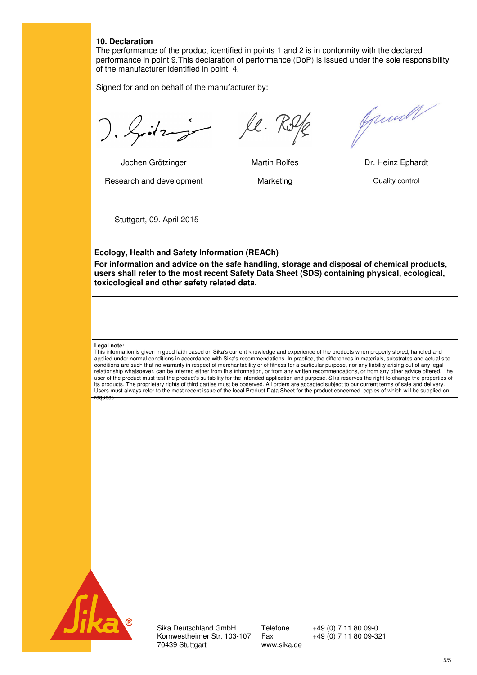#### **10. Declaration**

The performance of the product identified in points 1 and 2 is in conformity with the declared performance in point 9.This declaration of performance (DoP) is issued under the sole responsibility of the manufacturer identified in point 4.

Signed for and on behalf of the manufacturer by:

). Gitz je le Rol

Jochen Grötzinger Martin Rolfes Dr. Heinz Ephardt

Research and development **Marketing Marketing** Quality control



Jamell

Stuttgart, 09. April 2015

#### **Ecology, Health and Safety Information (REACh)**

**For information and advice on the safe handling, storage and disposal of chemical products, users shall refer to the most recent Safety Data Sheet (SDS) containing physical, ecological, toxicological and other safety related data.** 

#### **Legal note:**

This information is given in good faith based on Sika's current knowledge and experience of the products when properly stored, handled and applied under normal conditions in accordance with Sika's recommendations. In practice, the differences in materials, substrates and actual site conditions are such that no warranty in respect of merchantability or of fitness for a particular purpose, nor any liability arising out of any legal relationship whatsoever, can be inferred either from this information, or from any written recommendations, or from any other advice offered. The user of the product must test the product's suitability for the intended application and purpose. Sika reserves the right to change the properties of its products. The proprietary rights of third parties must be observed. All orders are accepted subject to our current terms of sale and delivery. Users must always refer to the most recent issue of the local Product Data Sheet for the product concerned, copies of which will be supplied on request.



Sika Deutschland GmbH Telefone +49 (0) 7 11 80 09-0<br>Kornwestheimer Str. 103-107 Fax +49 (0) 7 11 80 09-321 Kornwestheimer Str. 103-107 70439 Stuttgart www.sika.de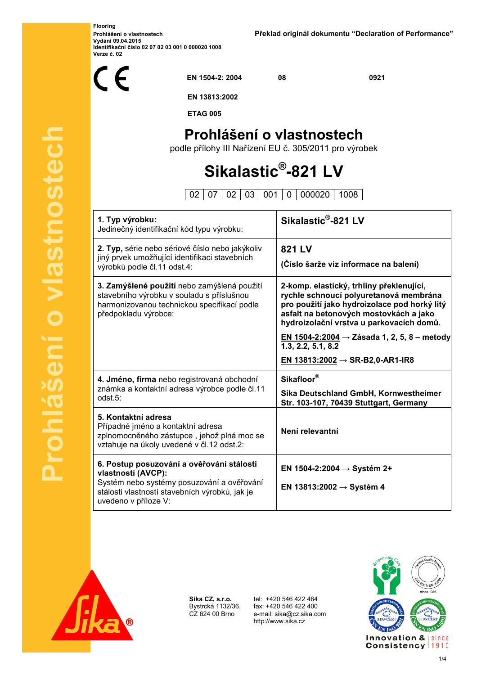**Flooring Vydání 09.04.2015 Identifikační číslo 02 07 02 03 001 0 000020 1008 Verze č. 02** 



**EN 1504-2: 2004 08 0921** 

 **EN 13813:2002** 

 **ETAG 005** 

## **Prohlášení o vlastnostech**

podle přílohy III Nařízení EU č. 305/2011 pro výrobek

# **Sikalastic® -821 LV**

02 07 02 03 001 0 000020 1008

| 1. Typ výrobku:<br>Jedinečný identifikační kód typu výrobku:                                                                                                                            | Sikalastic <sup>®</sup> -821 LV                                                                                                                                                                                          |
|-----------------------------------------------------------------------------------------------------------------------------------------------------------------------------------------|--------------------------------------------------------------------------------------------------------------------------------------------------------------------------------------------------------------------------|
| 2. Typ, série nebo sériové číslo nebo jakýkoliv<br>jiný prvek umožňující identifikaci stavebních<br>výrobků podle čl.11 odst.4:                                                         | 821 LV<br>(Číslo šarže viz informace na balení)                                                                                                                                                                          |
| 3. Zamýšlené použití nebo zamýšlená použití<br>stavebního výrobku v souladu s příslušnou<br>harmonizovanou technickou specifikací podle<br>předpokladu výrobce:                         | 2-komp. elastický, trhliny překlenující,<br>rychle schnoucí polyuretanová membrána<br>pro použití jako hydroizolace pod horký litý<br>asfalt na betonových mostovkách a jako<br>hydroizolační vrstva u parkovacích domů. |
|                                                                                                                                                                                         | <u>EN 1504-2:2004</u> → Zásada 1, 2, 5, 8 – metody<br>1.3, 2.2, 5.1, 8.2                                                                                                                                                 |
|                                                                                                                                                                                         | EN 13813:2002 → SR-B2,0-AR1-IR8                                                                                                                                                                                          |
| 4. Jméno, firma nebo registrovaná obchodní                                                                                                                                              | Sikafloor®                                                                                                                                                                                                               |
| známka a kontaktní adresa výrobce podle čl.11<br>$odst.5$ :                                                                                                                             | Sika Deutschland GmbH, Kornwestheimer<br>Str. 103-107, 70439 Stuttgart, Germany                                                                                                                                          |
| 5. Kontaktní adresa<br>Případné jméno a kontaktní adresa<br>zplnomocněného zástupce, jehož plná moc se<br>vztahuje na úkoly uvedené v čl.12 odst.2:                                     | Není relevantní                                                                                                                                                                                                          |
| 6. Postup posuzování a ověřování stálosti<br>vlastností (AVCP):<br>Systém nebo systémy posuzování a ověřování<br>stálosti vlastností stavebních výrobků, jak je<br>uvedeno v příloze V: | EN 1504-2:2004 → Systém 2+<br>EN 13813:2002 $\rightarrow$ Systém 4                                                                                                                                                       |



**Prohlášení o vlastnostech**

 $\overline{\mathbf{C}}$ 

**Stnoste** 

**Sika CZ, s.r.o.** Bystrcká 1132/36, CZ 624 00 Brno

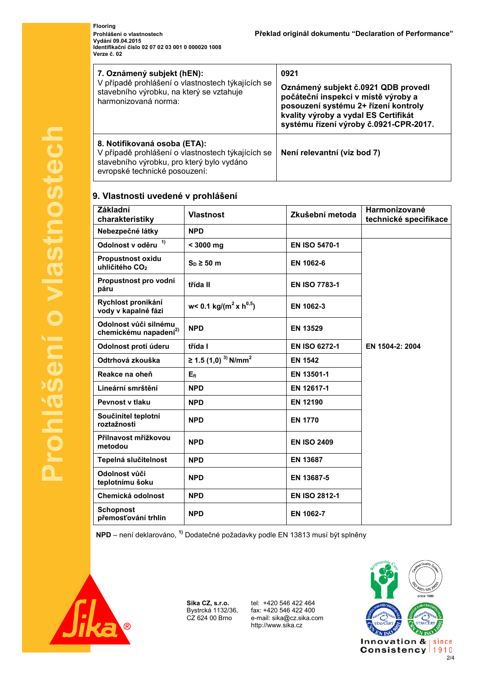**Flooring Vydání 09.04.2015 Identifikační číslo 02 07 02 03 001 0 000020 1008 Verze č. 02** 

| 7. Oznámený subjekt (hEN):<br>V případě prohlášení o vlastnostech týkajících se<br>stavebního výrobku, na který se vztahuje<br>harmonizovaná norma:             | 0921<br>Oznámený subjekt č.0921 QDB provedl<br>počáteční inspekci v místě výroby a<br>posouzení systému 2+ řízení kontroly<br>kvality výroby a vydal ES Certifikát<br>systému řízení výroby č.0921-CPR-2017. |
|-----------------------------------------------------------------------------------------------------------------------------------------------------------------|--------------------------------------------------------------------------------------------------------------------------------------------------------------------------------------------------------------|
| 8. Notifikovaná osoba (ETA):<br>V případě prohlášení o vlastnostech týkajících se<br>stavebního výrobku, pro který bylo vydáno<br>evropské technické posouzení: | Není relevantní (viz bod 7)                                                                                                                                                                                  |

## **9. Vlastnosti uvedené v prohlášení**

| <b>Základní</b><br>charakteristiky                         | <b>Vlastnost</b>                            | Zkušební metoda      | Harmonizované<br>technické specifikace |
|------------------------------------------------------------|---------------------------------------------|----------------------|----------------------------------------|
| Nebezpečné látky                                           | <b>NPD</b>                                  |                      |                                        |
| Odolnost v oděru <sup>1)</sup>                             | $< 3000$ mg                                 | <b>EN ISO 5470-1</b> |                                        |
| <b>Propustnost oxidu</b><br>uhličitého CO <sub>2</sub>     | $S_D \geq 50$ m                             | EN 1062-6            |                                        |
| Propustnost pro vodní<br>páru                              | třída II                                    | <b>EN ISO 7783-1</b> |                                        |
| Rychlost pronikání<br>vody v kapalné fázi                  | w< 0.1 kg/( $m^2$ x h <sup>0,5</sup> )      | EN 1062-3            |                                        |
| Odolnost vůči silnému<br>chemickému napadení <sup>2)</sup> | <b>NPD</b>                                  | <b>EN 13529</b>      |                                        |
| Odolnost proti úderu                                       | třída I                                     | <b>EN ISO 6272-1</b> | EN 1504-2: 2004                        |
| Odtrhová zkouška                                           | ≥ 1.5 (1,0) <sup>3)</sup> N/mm <sup>2</sup> | <b>EN 1542</b>       |                                        |
| Reakce na oheň                                             | E <sub>fl</sub>                             | EN 13501-1           |                                        |
| Lineární smrštění                                          | <b>NPD</b>                                  | EN 12617-1           |                                        |
| <b>Pevnost v tlaku</b>                                     | <b>NPD</b>                                  | <b>EN 12190</b>      |                                        |
| Součinitel teplotní<br>roztažnosti                         | <b>NPD</b>                                  | <b>EN 1770</b>       |                                        |
| Přilnavost mřížkovou<br>metodou                            | <b>NPD</b>                                  | <b>EN ISO 2409</b>   |                                        |
| Tepelná slučitelnost                                       | <b>NPD</b>                                  | <b>EN 13687</b>      |                                        |
| Odolnost vůči<br>teplotnímu šoku                           | <b>NPD</b>                                  | EN 13687-5           |                                        |
| Chemická odolnost                                          | <b>NPD</b>                                  | <b>EN ISO 2812-1</b> |                                        |
| <b>Schopnost</b><br>přemosťování trhlin                    | <b>NPD</b>                                  | EN 1062-7            |                                        |

**NPD** – není deklarováno, **1)** Dodatečné požadavky podle EN 13813 musí být splněny



**Sika CZ, s.r.o.** Bystrcká 1132/36, CZ 624 00 Brno

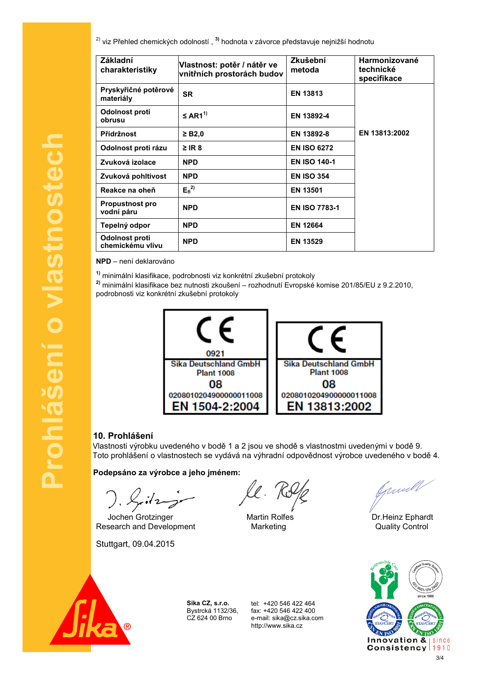2) viz Přehled chemických odolností , **3)** hodnota v závorce představuje nejnižší hodnotu

| <b>Základní</b><br>charakteristiky   | Vlastnost: potěr / nátěr ve<br>vnitřních prostorách budov | Zkušební<br>metoda   | <b>Harmonizované</b><br>technické<br>specifikace |
|--------------------------------------|-----------------------------------------------------------|----------------------|--------------------------------------------------|
| Pryskyřičné potěrové<br>materiály    | <b>SR</b>                                                 | <b>EN 13813</b>      |                                                  |
| Odolnost proti<br>obrusu             | $\leq$ AR1 <sup>1)</sup>                                  | EN 13892-4           |                                                  |
| Přídržnost                           | $\geq$ B2,0                                               | EN 13892-8           | EN 13813:2002                                    |
| Odolnost proti rázu                  | $\geq$ IR 8                                               | <b>EN ISO 6272</b>   |                                                  |
| Zvuková izolace                      | <b>NPD</b>                                                | <b>EN ISO 140-1</b>  |                                                  |
| Zvuková pohltivost                   | <b>NPD</b>                                                | <b>EN ISO 354</b>    |                                                  |
| Reakce na oheň                       | $E_{fl}^{2)}$                                             | <b>EN 13501</b>      |                                                  |
| <b>Propustnost pro</b><br>vodní páru | <b>NPD</b>                                                | <b>EN ISO 7783-1</b> |                                                  |
| Tepelný odpor                        | <b>NPD</b>                                                | <b>EN 12664</b>      |                                                  |
| Odolnost proti<br>chemickému vlivu   | <b>NPD</b>                                                | <b>EN 13529</b>      |                                                  |

**NPD** – není deklarováno

**Prohlášení o vlastnostech**

Prohlášení o vlastnostech

**1)** minimální klasifikace, podrobnosti viz konkrétní zkušební protokoly

**2)** minimální klasifikace bez nutnosti zkoušení – rozhodnutí Evropské komise 201/85/EU z 9.2.2010, podrobnosti viz konkrétní zkušební protokoly



## **10. Prohlášení**

Vlastnosti výrobku uvedeného v bodě 1 a 2 jsou ve shodě s vlastnostmi uvedenými v bodě 9. Toto prohlášení o vlastnostech se vydává na výhradní odpovědnost výrobce uvedeného v bodě 4.

**Podepsáno za výrobce a jeho jménem:** 

Jochen Grotzinger Martin Rolfes Dr.Heinz Ephardt

Research and Development Marketing Marketing Cuality Control

Stuttgart, 09.04.2015

ll. T

Junell



**Sika CZ, s.r.o.** Bystrcká 1132/36, CZ 624 00 Brno